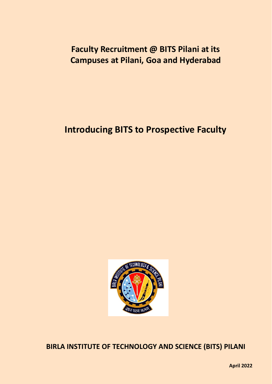# **Faculty Recruitment @ BITS Pilani at its Campuses at Pilani, Goa and Hyderabad**

# **Introducing BITS to Prospective Faculty**



**BIRLA INSTITUTE OF TECHNOLOGY AND SCIENCE (BITS) PILANI**

**April 2022**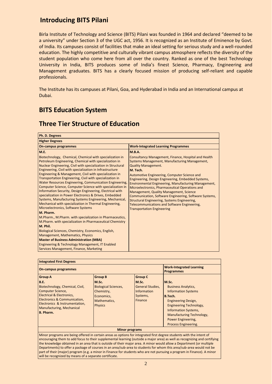# **Introducing BITS Pilani**

Birla Institute of Technology and Science (BITS) Pilani was founded in 1964 and declared "deemed to be a university" under Section 3 of the UGC act, 1956. It is recognized as an Institute of Eminence by Govt. of India. Its campuses consist of facilities that make an ideal setting for serious study and a well-rounded education. The highly competitive and culturally vibrant campus atmosphere reflects the diversity of the student population who come here from all over the country. Ranked as one of the best Technology University in India, BITS produces some of India's finest Science, Pharmacy, Engineering and Management graduates. BITS has a clearly focused mission of producing self-reliant and capable professionals.

The Institute has its campuses at Pilani, Goa, and Hyderabad in India and an International campus at Dubai.

# **BITS Education System**

### **Three Tier Structure of Education**

| Ph. D. Degrees                                                                                                                                                                                                                                                                                                                                                                                                                                                                                                                                                                                                                                                                         |                                                                                                                                                                                                                                                                                                                                                                                                                                                                                        |
|----------------------------------------------------------------------------------------------------------------------------------------------------------------------------------------------------------------------------------------------------------------------------------------------------------------------------------------------------------------------------------------------------------------------------------------------------------------------------------------------------------------------------------------------------------------------------------------------------------------------------------------------------------------------------------------|----------------------------------------------------------------------------------------------------------------------------------------------------------------------------------------------------------------------------------------------------------------------------------------------------------------------------------------------------------------------------------------------------------------------------------------------------------------------------------------|
| <b>Higher Degrees</b>                                                                                                                                                                                                                                                                                                                                                                                                                                                                                                                                                                                                                                                                  |                                                                                                                                                                                                                                                                                                                                                                                                                                                                                        |
| On-campus programmes                                                                                                                                                                                                                                                                                                                                                                                                                                                                                                                                                                                                                                                                   | <b>Work-Integrated Learning Programmes</b>                                                                                                                                                                                                                                                                                                                                                                                                                                             |
| M.E.<br>Biotechnology, Chemical, Chemical with specialization in<br>Petroleum Engineering, Chemical with specialization in<br>Nuclear Engineering, Civil with specialization in Structural<br>Engineering, Civil with specialization in Infrastructure<br>Engineering & Management, Civil with specialization in<br>Transportation Engineering, Civil with specialization in<br>Water Resources Engineering, Communication Engineering,<br>Computer Science, Computer Science with specialization in<br>Information Security, Design Engineering, Electrical with<br>specialization in Power Electronics & Drives, Embedded<br>Systems, Manufacturing Systems Engineering, Mechanical, | M.B.A.<br>Consultancy Management, Finance, Hospital and Health<br><b>Systems Management, Manufacturing Management,</b><br><b>Quality Management.</b><br>M. Tech.<br>Automotive Engineering, Computer Science and<br>Engineering, Design Engineering, Embedded Systems,<br>Environmental Engineering, Manufacturing Management,<br>Microelectronics, Pharmaceutical Operations and<br>Management, Quality Management, Science<br>Communication, Software Engineering, Software Systems, |
| Mechanical with specialization in Thermal Engineering,<br>Microelectronics, Software Systems<br>M. Pharm.                                                                                                                                                                                                                                                                                                                                                                                                                                                                                                                                                                              | Structural Engineering, Systems Engineering,<br>Telecommunications and Software Engineering,<br><b>Transportation Engineering</b>                                                                                                                                                                                                                                                                                                                                                      |
| M.Pharm., M.Pharm. with specialization in Pharmaceutics,<br>M.Pharm. with specialization in Pharmaceutical Chemistry<br>M. Phil.<br>Biological Sciences, Chemistry, Economics, English,                                                                                                                                                                                                                                                                                                                                                                                                                                                                                                |                                                                                                                                                                                                                                                                                                                                                                                                                                                                                        |
| Management, Mathematics, Physics<br><b>Master of Business Administration (MBA)</b><br>Engineering & Technology Management, IT Enabled<br>Services Management, Finance, Marketing                                                                                                                                                                                                                                                                                                                                                                                                                                                                                                       |                                                                                                                                                                                                                                                                                                                                                                                                                                                                                        |

| <b>Integrated First Degrees</b>                                                                                                                                                                                                                                                                                                                                                                                                                                                                                                                                                                                             |                                                                                                                      |                                                                                                 |                                                                                                                                                                                                                                                 |  |  |  |  |
|-----------------------------------------------------------------------------------------------------------------------------------------------------------------------------------------------------------------------------------------------------------------------------------------------------------------------------------------------------------------------------------------------------------------------------------------------------------------------------------------------------------------------------------------------------------------------------------------------------------------------------|----------------------------------------------------------------------------------------------------------------------|-------------------------------------------------------------------------------------------------|-------------------------------------------------------------------------------------------------------------------------------------------------------------------------------------------------------------------------------------------------|--|--|--|--|
| On-campus programmes                                                                                                                                                                                                                                                                                                                                                                                                                                                                                                                                                                                                        | <b>Work-Integrated Learning</b><br><b>Programmes</b>                                                                 |                                                                                                 |                                                                                                                                                                                                                                                 |  |  |  |  |
| <b>Group A</b><br><b>B.E.</b><br>Biotechnology, Chemical, Civil,<br><b>Computer Science,</b><br>Electrical & Electronics,<br>Electronics & Communication,<br>Electronics & Instrumentation,<br>Manufacturing, Mechanical<br>B. Pharm.                                                                                                                                                                                                                                                                                                                                                                                       | <b>Group B</b><br>M.Sc.<br><b>Biological Sciences,</b><br>Chemistry,<br>Economics,<br>Mathematics,<br><b>Physics</b> | <b>Group C</b><br>M.Sc.<br><b>General Studies,</b><br><b>Information</b><br>Systems,<br>Finance | M.Sc.<br><b>Business Analytics,</b><br><b>Information Systems</b><br>B.Tech.<br><b>Engineering Design,</b><br>Engineering Technology,<br><b>Information Systems,</b><br>Manufacturing Technology,<br>Power Engineering,<br>Process Engineering. |  |  |  |  |
|                                                                                                                                                                                                                                                                                                                                                                                                                                                                                                                                                                                                                             | <b>Minor programs</b>                                                                                                |                                                                                                 |                                                                                                                                                                                                                                                 |  |  |  |  |
| Minor programs are being offered in certain areas as options for integrated first degree students with the intent of<br>encouraging them to add focus to their supplemental learning (outside a major area) as well as recognizing and certifying<br>the knowledge obtained in an area that is outside of their major area. A minor would allow a Department (or multiple<br>Departments) to offer a package of courses in an area/sub-area to students for whom this area/sub-area would not be<br>part of their (major) program (e.g. a minor in Finance for students who are not pursuing a program in Finance). A minor |                                                                                                                      |                                                                                                 |                                                                                                                                                                                                                                                 |  |  |  |  |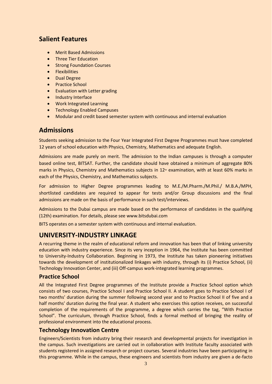# **Salient Features**

- Merit Based Admissions
- Three Tier Education
- Strong Foundation Courses
- **•** Flexibilities
- **•** Dual Degree
- Practice School
- Evaluation with Letter grading
- Industry Interface
- Work Integrated Learning
- **•** Technology Enabled Campuses
- Modular and credit based semester system with continuous and internal evaluation

# **Admissions**

Students seeking admission to the Four Year Integrated First Degree Programmes must have completed 12 years of school education with Physics, Chemistry, Mathematics and adequate English.

Admissions are made purely on merit. The admission to the Indian campuses is through a computer based online test, BITSAT. Further, the candidate should have obtained a minimum of aggregate 80% marks in Physics, Chemistry and Mathematics subjects in  $12<sup>th</sup>$  examination, with at least 60% marks in each of the Physics, Chemistry, and Mathematics subjects.

For admission to Higher Degree programmes leading to M.E./M.Pharm./M.Phil./ M.B.A./MPH, shortlisted candidates are required to appear for tests and/or Group discussions and the final admissions are made on the basis of performance in such test/interviews.

Admissions to the Dubai campus are made based on the performance of candidates in the qualifying (12th) examination. For details, please see www.bitsdubai.com

BITS operates on a semester system with continuous and internal evaluation.

# **UNIVERSITY-INDUSTRY LINKAGE**

A recurring theme in the realm of educational reform and innovation has been that of linking university education with industry experience. Since its very inception in 1964, the Institute has been committed to University-Industry Collaboration. Beginning in 1973, the Institute has taken pioneering initiatives towards the development of institutionalized linkages with industry, through its (i) Practice School, (ii) Technology Innovation Center, and (iii) Off-campus work-integrated learning programmes.

### **Practice School**

All the Integrated First Degree programmes of the Institute provide a Practice School option which consists of two courses, Practice School I and Practice School II. A student goes to Practice School I of two months' duration during the summer following second year and to Practice School II of five and a half months' duration during the final year. A student who exercises this option receives, on successful completion of the requirements of the programme, a degree which carries the tag, "With Practice School". The curriculum, through Practice School, finds a formal method of bringing the reality of professional environment into the educational process.

### **Technology Innovation Centre**

Engineers/Scientists from industry bring their research and developmental projects for investigation in the campus. Such investigations are carried out in collaboration with Institute faculty associated with students registered in assigned research or project courses. Several industries have been participating in this programme. While in the campus, these engineers and scientists from industry are given a de-facto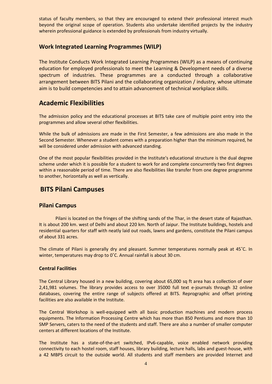status of faculty members, so that they are encouraged to extend their professional interest much beyond the original scope of operation. Students also undertake identified projects by the industry wherein professional guidance is extended by professionals from industry virtually.

### **Work Integrated Learning Programmes (WILP)**

The Institute Conducts Work Integrated Learning Programmes (WILP) as a means of continuing education for employed professionals to meet the Learning & Development needs of a diverse spectrum of industries. These programmes are a conducted through a collaborative arrangement between BITS Pilani and the collaborating organization / industry, whose ultimate aim is to build competencies and to attain advancement of technical workplace skills.

# **Academic Flexibilities**

The admission policy and the educational processes at BITS take care of multiple point entry into the programmes and allow several other flexibilities.

While the bulk of admissions are made in the First Semester, a few admissions are also made in the Second Semester. Whenever a student comes with a preparation higher than the minimum required, he will be considered under admission with advanced standing.

One of the most popular flexibilities provided in the Institute's educational structure is the dual degree scheme under which it is possible for a student to work for and complete concurrently two first degrees within a reasonable period of time. There are also flexibilities like transfer from one degree programme to another, horizontally as well as vertically.

## **BITS Pilani Campuses**

### **Pilani Campus**

Pilani is located on the fringes of the shifting sands of the Thar, in the desert state of Rajasthan. It is about 200 km. west of Delhi and about 220 km. North of Jaipur. The Institute buildings, hostels and residential quarters for staff with neatly laid out roads, lawns and gardens, constitute the Pilani campus of about 331 acres.

The climate of Pilani is generally dry and pleasant. Summer temperatures normally peak at 45˚C. In winter, temperatures may drop to 0˚C. Annual rainfall is about 30 cm.

### **Central Facilities**

The Central Library housed in a new building, covering about 65,000 sq ft area has a collection of over 2,41,981 volumes. The library provides access to over 35000 full text e-journals through 32 online databases, covering the entire range of subjects offered at BITS. Reprographic and offset printing facilities are also available in the Institute.

The Central Workshop is well-equipped with all basic production machines and modern process equipments. The Information Processing Centre which has more than 850 Pentiums and more than 10 SMP Servers, caters to the need of the students and staff. There are also a number of smaller computer centers at different locations of the Institute.

The Institute has a state-of-the-art switched, IPv6-capable, voice enabled network providing connectivity to each hostel room, staff houses, library building, lecture halls, labs and guest-house, with a 42 MBPS circuit to the outside world. All students and staff members are provided Internet and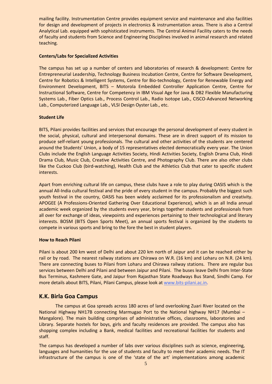mailing facility. Instrumentation Centre provides equipment service and maintenance and also facilities for design and development of projects in electronics & instrumentation areas. There is also a Central Analytical Lab. equipped with sophisticated instruments. The Central Animal Facility caters to the needs of faculty and students from Science and Engineering Disciplines involved in animal research and related teaching.

#### **Centers/Labs for Specialized Activities**

The campus has set up a number of centers and laboratories of research & development: Centre for Entrepreneurial Leadership, Technology Business Incubation Centre, Centre for Software Development, Centre for Robotics & Intelligent Systems, Centre for Bio-technology, Centre for Renewable Energy and Environment Development, BITS – Motorola Embedded Controller Application Centre, Centre for Instructional Software, Centre for Competency in IBM Visual Age for Java & DB2 Flexible Manufacturing Systems Lab., Fiber Optics Lab., Process Control Lab., Radio Isotope Lab., CISCO-Advanced Networking Lab., Computerized Language Lab., VLSI Design Oyster Lab., etc.

### **Student Life**

BITS, Pilani provides facilities and services that encourage the personal development of every student in the social, physical, cultural and interpersonal domains. These are in direct support of its mission to produce self-reliant young professionals. The cultural and other activities of the students are centered around the Students' Union, a body of 15 representatives elected democratically every year. The Union Clubs include the English Language Activities Society, Hindi Activities Society, English Drama Club, Hindi Drama Club, Music Club, Creative Activities Centre, and Photography Club. There are also other clubs like the Cuckoo Club (bird-watching), Health Club and the Athletics Club that cater to specific student interests.

Apart from enriching cultural life on campus, these clubs have a role to play during OASIS which is the annual All-India cultural festival and the pride of every student in the campus. Probably the biggest such youth festival in the country, OASIS has been widely acclaimed for its professionalism and creativity. APOGEE (A Professions-Oriented Gathering Over Educational Experience), which is an all India annual academic week organized by the students every year, brings together students and professionals from all over for exchange of ideas, viewpoints and experiences pertaining to their technological and literary interests. BOSM (BITS Open Sports Meet), an annual sports festival is organized by the students to compete in various sports and bring to the fore the best in student players.

### **How to Reach Pilani**

Pilani is about 200 km west of Delhi and about 220 km north of Jaipur and it can be reached either by rail or by road. The nearest railway stations are Chirawa on W.R. (16 km) and Loharu on N.R. (24 km). There are connecting buses to Pilani from Loharu and Chirawa railway stations. There are regular bus services between Delhi and Pilani and between Jaipur and Pilani. The buses leave Delhi from Inter-State Bus Terminus, Kashmere Gate, and Jaipur from Rajasthan State Roadways Bus Stand, Sindhi Camp. For more details about BITS, Pilani, Pilani Campus, please look at [www.bits-pilani.ac.in.](http://www.bits-pilani.ac.in/)

### **K.K. Birla Goa Campus**

The campus at Goa spreads across 180 acres of land overlooking Zuari River located on the National Highway NH17B connecting Marmugao Port to the National highway NH17 (Mumbai – Mangalore). The main building comprises of administrative offices, classrooms, laboratories and Library. Separate hostels for boys, girls and faculty residences are provided. The campus also has shopping complex including a Bank, medical facilities and recreational facilities for students and staff.

The campus has developed a number of labs over various disciplines such as science, engineering, languages and humanities for the use of students and faculty to meet their academic needs. The IT infrastructure of the campus is one of the 'state of the art' implementations among academic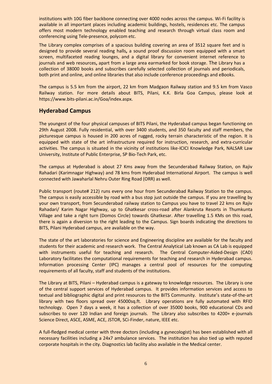institutions with 10G fiber backbone connecting over 4000 nodes across the campus. Wi-Fi facility is available in all important places including academic buildings, hostels, residences etc. The campus offers most modern technology enabled teaching and research through virtual class room and conferencing using Tele-presence, polycom etc.

The Library complex comprises of a spacious building covering an area of 3512 square feet and is designed to provide several reading halls**,** a sound proof discussion room equipped with a smart screen, multifaceted reading lounges, and a digital library for convenient internet reference to journals and web resources**,** apart from a large area earmarked for book storage. The Library has a collection of 38000 books and subscribes carefully selected collection of journals and periodicals, both print and online, and online libraries that also include conference proceedings and eBooks.

The campus is 5.5 km from the airport, 22 km from Madgaon Railway station and 9.5 km from Vasco Railway station. For more details about BITS, Pilani, K.K. Birla Goa Campus, please look at https://www.bits-pilani.ac.in/Goa/index.aspx.

### **Hyderabad Campus**

The youngest of the four physical campuses of BITS Pilani, the Hyderabad campus began functioning on 29th August 2008. Fully residential, with over 3400 students, and 350 faculty and staff members, the picturesque campus is housed in 200 acres of rugged, rocky terrain characteristic of the region. It is equipped with state of the art infrastructure required for instruction, research, and extra-curricular activities. The campus is situated in the vicinity of institutions like-ICICI Knowledge Park, NALSAR Law University, Institute of Public Enterprise, SP Bio-Tech Park, etc.

The campus at Hyderabad is about 27 Kms away from the Secunderabad Railway Station, on Rajiv Rahadari (Karimnagar Highway) and 78 kms from Hyderabad International Airport. The campus is well connected with Jawaharlal Nehru Outer Ring Road (ORR) as well.

Public transport (route# 212) runs every one hour from Secunderabad Railway Station to the campus. The campus is easily accessible by road with a bus stop just outside the campus. If you are travelling by your own transport, from Secunderabad railway station to Campus you have to travel 22 kms on Rajiv Rahadari/ Karim Nagar Highway, up to Ghatkesar cross-road after Alankruta Resorts in Thumkunta Village and take a right turn (Domos Circle) towards Ghatkesar. After travelling 1.5 KMs on this road, there is again a diversion to the right leading to the Campus. Sign boards indicating the directions to BITS, Pilani Hyderabad campus, are available on the way.

The state of the art laboratories for science and Engineering discipline are available for the faculty and students for their academic and research work. The Central Analytical Lab known as CA Lab is equipped with instruments useful for teaching and research. The Central Computer-Aided-Design (CAD) Laboratory facilitates the computational requirements for teaching and research in Hyderabad campus. Information processing Center (IPC) manages a central pool of resources for the computing requirements of all faculty, staff and students of the institutions.

The Library at BITS, Pilani – Hyderabad campus is a gateway to knowledge resources. The Library is one of the central support services of Hyderabad campus. It provides information services and access to textual and bibliographic digital and print resources to the BITS Community. Institute's state-of-the-art library with two floors spread over 45000sq.ft. Library operations are fully automated with RFID technology. Open 7 days a week, it has a collection of over 35000 books, 900 educational CDs and subscribes to over 120 Indian and foreign journals. The Library also subscribes to 4200+ e-journals Science Direct, ASCE, ASME, ACE, JSTOR, SCi-Finder, nature, IEEE etc.

A full-fledged medical center with three doctors (including a gynecologist) has been established with all necessary facilities including a 24x7 ambulance services. The institution has also tied up with reputed corporate hospitals in the city. Diagnostics lab facility also available in the Medical center.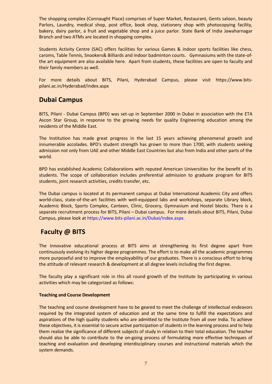The shopping complex (Connaught Place) comprises of Super Market, Restaurant, Gents saloon, beauty Parlors, Laundry, medical shop, post office, book shop, stationery shop with photocopying facility, bakery, dairy parlor, a fruit and vegetable shop and a juice parlor. State Bank of India Jawaharnagar Branch and two ATMs are located in shopping complex.

Students Activity Centre (SAC) offers facilities for various Games & indoor sports facilities like chess, caroms, Table Tennis, Snookers& Billiards and indoor badminton courts. Gymnasiums with the state-ofthe art equipment are also available here. Apart from students, these facilities are open to faculty and their family members as well.

For more details about BITS, Pilani, Hyderabad Campus, please visit https://www.bitspilani.ac.in/Hyderabad/index.aspx

# **Dubai Campus**

BITS, Pilani - Dubai Campus (BPD) was set-up in September 2000 in Dubai in association with the ETA Ascon Star Group, in response to the growing needs for quality Engineering education among the residents of the Middle East.

The Institution has made great progress in the last 15 years achieving phenomenal growth and innumerable accolades. BPD's student strength has grown to more than 1700, with students seeking admission not only from UAE and other Middle East Countries but also from India and other parts of the world.

BPD has established Academic Collaborations with reputed American Universities for the benefit of its students. The scope of collaboration includes preferential admission to graduate program for BITS students, joint research activities, credits transfer, etc.

The Dubai campus is located at its permanent campus at Dubai International Academic City and offers world-class, state-of-the-art facilities with well-equipped labs and workshops, separate Library block, Academic Block, Sports Complex, Canteen, Clinic, Grocery, Gymnasium and Hostel blocks. There is a separate recruitment process for BITS, Pilani – Dubai campus. For more details about BITS, Pilani, Dubai Campus, please look at https://www.bits-pilani.ac.in/Dubai/index.aspx.

# **Faculty @ BITS**

The innovative educational process at BITS aims at strengthening its first degree apart from continuously evolving its higher degree programmes. The effort is to make all the academic programmes more purposeful and to improve the employability of our graduates. There is a conscious effort to bring the attitude of relevant research & development at all degree levels including the first degree.

The faculty play a significant role in this all round growth of the Institute by participating in various activities which may be categorized as follows:

#### **Teaching and Course Development**

The teaching and course development have to be geared to meet the challenge of intellectual endeavors required by the integrated system of education and at the same time to fulfill the expectations and aspirations of the high quality students who are admitted to the Institute from all over India. To achieve these objectives, it is essential to secure active participation of students in the learning process and to help them realize the significance of different subjects of study in relation to their total education. The teacher should also be able to contribute to the on-going process of formulating more effective techniques of teaching and evaluation and developing interdisciplinary courses and instructional materials which the system demands.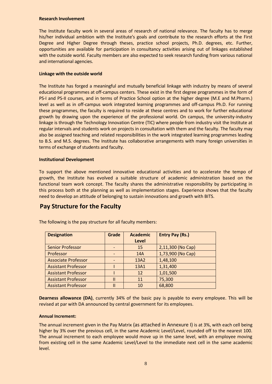#### **Research Involvement**

The Institute faculty work in several areas of research of national relevance. The faculty has to merge his/her individual ambition with the Institute's goals and contribute to the research efforts at the First Degree and Higher Degree through theses, practice school projects, Ph.D. degrees, etc. Further, opportunities are available for participation in consultancy activities arising out of linkages established with the outside world. Faculty members are also expected to seek research funding from various national and international agencies.

#### **Linkage with the outside world**

The Institute has forged a meaningful and mutually beneficial linkage with industry by means of several educational programmes at off-campus centers. These exist in the first degree programmes in the form of PS-I and PS-II courses, and in terms of Practice School option at the higher degree (M.E and M.Pharm.) level as well as in off-campus work integrated learning programmes and off-campus Ph.D. For running these programmes, the faculty is required to reside at these centres and to work for further educational growth by drawing upon the experience of the professional world. On campus, the university-industry linkage is through the Technology Innovation Centre (TIC) where people from industry visit the Institute at regular intervals and students work on projects in consultation with them and the faculty. The faculty may also be assigned teaching and related responsibilities in the work integrated learning programmes leading to B.S. and M.S. degrees. The Institute has collaborative arrangements with many foreign universities in terms of exchange of students and faculty.

#### **Institutional Development**

To support the above mentioned innovative educational activities and to accelerate the tempo of growth, the Institute has evolved a suitable structure of academic administration based on the functional team work concept. The faculty shares the administrative responsibility by participating in this process both at the planning as well as implementation stages. Experience shows that the faculty need to develop an attitude of belonging to sustain innovations and growth with BITS.

### **Pay Structure for the Faculty**

| <b>Designation</b>         | Grade | <b>Academic</b> | <b>Entry Pay (Rs.)</b> |
|----------------------------|-------|-----------------|------------------------|
|                            |       | Level           |                        |
| <b>Senior Professor</b>    |       | 15              | 2,11,300 (No Cap)      |
| Professor                  |       | 14A             | 1,73,900 (No Cap)      |
| <b>Associate Professor</b> |       | 13A2            | 1,48,100               |
| <b>Assistant Professor</b> |       | 13A1            | 1,31,400               |
| <b>Assistant Professor</b> |       | 12              | 1,01,500               |
| <b>Assistant Professor</b> | П     | 11              | 75,300                 |
| <b>Assistant Professor</b> | Ш     | 10              | 68,800                 |

The following is the pay structure for all faculty members:

**Dearness allowance (DA)**, currently 34% of the basic pay is payable to every employee. This will be revised at par with DA announced by central government for its employees.

#### **Annual Increment:**

The annual increment given in the Pay Matrix (as attached in Annexure I) is at 3%, with each cell being higher by 3% over the previous cell, in the same Academic Level/Level, rounded off to the nearest 100. The annual increment to each employee would move up in the same level, with an employee moving from existing cell in the same Academic Level/Level to the immediate next cell in the same academic level.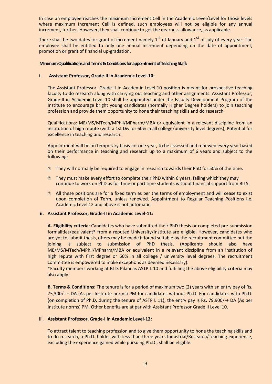In case an employee reaches the maximum Increment Cell in the Academic Level/Level for those levels where maximum Increment Cell is defined, such employees will not be eligible for any annual increment, further. However, they shall continue to get the dearness allowance, as applicable.

There shall be two dates for grant of increment namely  $1<sup>st</sup>$  of January and  $1<sup>st</sup>$  of July of every year. The employee shall be entitled to only one annual increment depending on the date of appointment, promotion or grant of financial up-gradation.

#### **Minimum Qualifications and Terms & Conditions for appointment of Teaching Staff:**

#### **i. Assistant Professor, Grade-II in Academic Level-10:**

The Assistant Professor, Grade-II in Academic Level-10 position is meant for prospective teaching faculty to do research along with carrying out teaching and other assignments. Assistant Professor, Grade-II in Academic Level-10 shall be appointed under the Faculty Development Program of the Institute to encourage bright young candidates (normally Higher Degree holders) to join teaching profession and provide them opportunity to hone their teaching skills and do research.

Qualifications: ME/MS/MTech/MPhil/MPharm/MBA or equivalent in a relevant discipline from an institution of high repute (with a 1st Div. or 60% in all college/university level degrees); Potential for excellence in teaching and research.

Appointment will be on temporary basis for one year, to be assessed and renewed every year based on their performance in teaching and research up to a maximum of 6 years and subject to the following:

- **If they will normally be required to engage in research towards their PhD for 50% of the time.**
- **If they must make every effort to complete their PhD within 6 years, failing which they may** continue to work on PhD as full time or part time students without financial support from BITS.
- **If** all these positions are for a fixed term as per the terms of employment and will cease to exist upon completion of Term, unless renewed. Appointment to Regular Teaching Positions I.e. Academic Level 12 and above is not automatic.

#### **ii. Assistant Professor, Grade-II in Academic Level-11:**

**A. Eligibility criteria**: Candidates who have submitted their PhD thesis or completed pre-submission formalities/equivalent\* from a reputed University/Institute are eligible. However, candidates who are yet to submit thesis, offers may be made if found suitable by the recruitment committee but the joining is subject to submission of PhD thesis. (Applicants should also have ME/MS/MTech/MPhil/MPharm/MBA or equivalent in a relevant discipline from an institution of high repute with first degree or 60% in all college / university level degrees. The recruitment committee is empowered to make exceptions as deemed necessary).

\*Faculty members working at BITS Pilani as ASTP L 10 and fulfilling the above eligibility criteria may also apply.

**B. Terms & Conditions:** The tenure is for a period of maximum two (2) years with an entry pay of Rs. 75,300/- + DA (As per Institute norms) PM for candidates without Ph.D. For candidates with Ph.D. (on completion of Ph.D. during the tenure of ASTP L 11), the entry pay is Rs. 79,900/-+ DA (As per Institute norms) PM. Other benefits are at par with Assistant Professor Grade II Level 10.

#### iii. **Assistant Professor, Grade-I in Academic Level-12:**

To attract talent to teaching profession and to give them opportunity to hone the teaching skills and to do research, a Ph.D. holder with less than three years Industrial/Research/Teaching experience, excluding the experience gained while pursuing Ph.D., shall be eligible.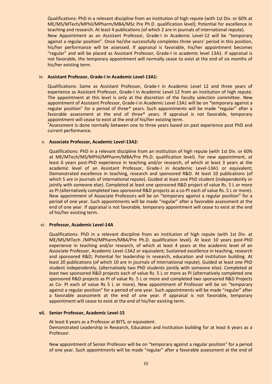Qualifications: PhD in a relevant discipline from an institution of high repute (with 1st Div. or 60% at ME/MS/MTech/MPhil/MPharm/MBA/MSc Pre Ph.D. qualification level); Potential for excellence in teaching and research. At least 4 publications (of which 2 are in journals of international repute). New Appointment as an Assistant Professor, Grade-I in Academic Level-12 will be "temporary against a regular position". Once he/she successfully completes three years' period in this position, his/her performance will be assessed. If appraisal is favorable, his/her appointment becomes "regular" and will be placed as Assistant Professor, Grade-I in academic level 13A1. If appraisal is not favorable, the temporary appointment will normally cease to exist at the end of six months of his/her existing term.

#### iv. **Assistant Professor, Grade-I in Academic Level-13A1:**

Qualifications: Same as Assistant Professor, Grade-I in Academic Level 12 and three years of experience as Assistant Professor, Grade-I in Academic Level-12 from an institution of high repute. The appointment at this level is only at the discretion of the faculty selection committee. New appointment of Assistant Professor, Grade-I in Academic Level 13A1 will be on "temporary against a regular position" for a period of three\* years. Such appointments will be made "regular" after a favorable assessment at the end of three\* years. If appraisal is not favorable, temporary appointment will cease to exist at the end of his/her existing term.

**\***Assessment is done normally between one to three years based on past experience post PhD and current performance.

#### v. **Associate Professor, Academic Level-13A2:**

Qualifications: PhD in a relevant discipline from an institution of high repute (with 1st Div. or 60% at ME/MTech/MS/MPhil/MPharm/MBA/Pre Ph.D. qualification level). For new appointment, at least 6 years post‐PhD experience in teaching and/or research, of which at least 3 years at the academic level of an Assistant Professor, Grade-I in Academic Level-13A1 or equivalent; Demonstrated excellence in teaching, research and sponsored R&D. At least 10 publications (of which 5 are in journals of international repute). Guided at least one PhD student (independently or jointly with someone else). Completed at least one sponsored R&D project of value Rs. 5 L or more as PI (alternatively completed two sponsored R&D projects as a co-PI each of value Rs. 5 L or more). New appointment of Associate Professors will be on "temporary against a regular position" for a period of one year. Such appointments will be made "regular" after a favorable assessment at the end of one year. If appraisal is not favorable, temporary appointment will cease to exist at the end of his/her existing term.

#### vi. **Professor, Academic Level-14A**

Qualifications: PhD in a relevant discipline from an institution of high repute (with 1st Div. at ME/MS/MTech /MPhil/MPharm/MBA/Pre Ph.D. qualification level). At least 10 years post‐PhD experience in teaching and/or research, of which at least 4 years at the academic level of an Associate Professor, Academic Level-13A2 or equivalent; Sustained excellence in teaching, research and sponsored R&D; Potential for leadership in research, education and institution building. At least 20 publications (of which 10 are in journals of international repute). Guided at least one PhD student independently, (alternatively two PhD students jointly with someone else). Completed at least two sponsored R&D projects each of value Rs. 5 L or more as PI (alternatively completed one sponsored R&D projects as PI of value Rs. 5 L or more and completed two sponsored R&D Projects as Co- PI each of value Rs 5 L or more). New appointment of Professor will be on "temporary against a regular position" for a period of one year. Such appointments will be made "regular" after a favorable assessment at the end of one year. If appraisal is not favorable, temporary appointment will cease to exist at the end of his/her existing term.

#### **vii. Senior Professor, Academic Level-15**

At least 6 years as a Professor at BITS, or equivalent. Demonstrated Leadership in Research, Education and Institution building for at least 6 years as a Professor.

New appointment of Senior Professor will be on "temporary against a regular position" for a period of one year. Such appointments will be made "regular" after a favorable assessment at the end of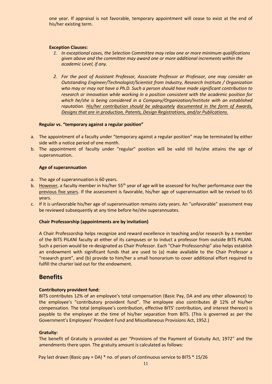one year. If appraisal is not favorable, temporary appointment will cease to exist at the end of his/her existing term.

#### **Exception Clauses:**

- *1. In exceptional cases, the Selection Committee may relax one or more minimum qualifications given above and the committee may award one or more additional increments within the academic Level, if any.*
- *2. For the post of Assistant Professor, Associate Professor or Professor, one may consider an Outstanding Engineer/Technologist/Scientist from Industry, Research Institute / Organization who may or may not have a Ph.D. Such a person should have made significant contribution to research or innovation while working in a position consistent with the academic position for which he/she is being considered in a Company/Organization/Institute with an established reputation. His/her contribution should be adequately documented in the form of Awards, Designs that are in production, Patents, Design Registrations, and/or Publications.*

#### **Regular vs. "temporary against a regular position"**

- a. The appointment of a faculty under "temporary against a regular position" may be terminated by either side with a notice period of one month.
- b. The appointment of faculty under "regular" position will be valid till he/she attains the age of superannuation.

#### **Age of superannuation**

- a. The age of superannuation is 60 years.
- b. However, a faculty member in his/her 55<sup>th</sup> year of age will be assessed for his/her performance over the previous five years. If the assessment is favorable, his/her age of superannuation will be revised to 65 years.
- c. If it is unfavorable his/her age of superannuation remains sixty years. An "unfavorable" assessment may be reviewed subsequently at any time before he/she superannuates.

#### **Chair Professorship (appointments are by invitation)**

A Chair Professorship helps recognize and reward excellence in teaching and/or research by a member of the BITS PILANI faculty at either of its campuses or to induct a professor from outside BITS PILANI. Such a person would be re-designated as Chair Professor. Each "Chair Professorship" also helps establish an endowment with significant funds that are used to (a) make available to the Chair Professor a "research grant", and (b) provide to him/her a small honorarium to cover additional effort required to fulfill the charter laid out for the endowment.

### **Benefits**

#### **Contributory provident fund:**

BITS contributes 12% of an employee's total compensation (Basic Pay, DA and any other allowance) to the employee's "contributory provident fund". The employee also contributes @ 12% of his/her compensation. The total (employee's contribution, effective BITS' contribution, and interest thereon) is payable to the employee at the time of his/her separation from BITS. (This is governed as per the Government's Employees' Provident Fund and Miscellaneous Provisions Act, 1952.)

#### **Gratuity:**

The benefit of Gratuity is provided as per "Provisions of the Payment of Gratuity Act, 1972" and the amendments there upon. The gratuity amount is calculated as follows:

Pay last drawn (Basic pay + DA) \* no. of years of continuous service to BITS \* 15/26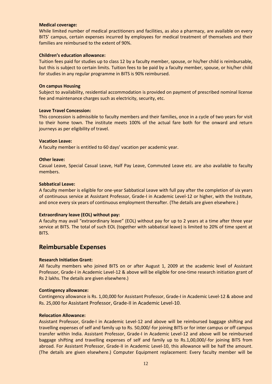#### **Medical coverage:**

While limited number of medical practitioners and facilities, as also a pharmacy, are available on every BITS' campus, certain expenses incurred by employees for medical treatment of themselves and their families are reimbursed to the extent of 90%.

#### **Children's education allowance:**

Tuition fees paid for studies up to class 12 by a faculty member, spouse, or his/her child is reimbursable, but this is subject to certain limits. Tuition fees to be paid by a faculty member, spouse, or his/her child for studies in any regular programme in BITS is 90% reimbursed.

#### **On campus Housing**

Subject to availability, residential accommodation is provided on payment of prescribed nominal license fee and maintenance charges such as electricity, security, etc.

#### **Leave Travel Concession:**

This concession is admissible to faculty members and their families, once in a cycle of two years for visit to their home town. The institute meets 100% of the actual fare both for the onward and return journeys as per eligibility of travel.

#### **Vacation Leave:**

A faculty member is entitled to 60 days' vacation per academic year.

#### **Other leave:**

Casual Leave, Special Casual Leave, Half Pay Leave, Commuted Leave etc. are also available to faculty members.

#### **Sabbatical Leave:**

A faculty member is eligible for one-year Sabbatical Leave with full pay after the completion of six years of continuous service at Assistant Professor, Grade-I in Academic Level-12 or higher, with the Institute, and once every six years of continuous employment thereafter. (The details are given elsewhere.)

#### **Extraordinary leave (EOL) without pay:**

A faculty may avail "extraordinary leave" (EOL) without pay for up to 2 years at a time after three year service at BITS. The total of such EOL (together with sabbatical leave) is limited to 20% of time spent at BITS.

### **Reimbursable Expenses**

#### **Research Initiation Grant:**

All faculty members who joined BITS on or after August 1, 2009 at the academic level of Assistant Professor, Grade-I in Academic Level-12 & above will be eligible for one-time research initiation grant of Rs 2 lakhs. The details are given elsewhere.)

#### **Contingency allowance:**

Contingency allowance is Rs. 1,00,000 for Assistant Professor, Grade-I in Academic Level-12 & above and Rs. 25,000 for Assistant Professor, Grade-II in Academic Level-10.

#### **Relocation Allowance:**

Assistant Professor, Grade-I in Academic Level-12 and above will be reimbursed baggage shifting and travelling expenses of self and family up to Rs. 50,000/-for joining BITS or for inter campus or off campus transfer within India. Assistant Professor, Grade-I in Academic Level-12 and above will be reimbursed baggage shifting and travelling expenses of self and family up to Rs.1,00,000/-for joining BITS from abroad. For Assistant Professor, Grade-II in Academic Level-10, this allowance will be half the amount. (The details are given elsewhere.) Computer Equipment replacement: Every faculty member will be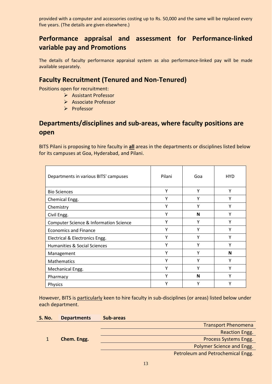provided with a computer and accessories costing up to Rs. 50,000 and the same will be replaced every five years. (The details are given elsewhere.)

# **Performance appraisal and assessment for Performance-linked variable pay and Promotions**

The details of faculty performance appraisal system as also performance-linked pay will be made available separately.

# **Faculty Recruitment (Tenured and Non-Tenured)**

Positions open for recruitment:

- Assistant Professor
- Associate Professor
- $\triangleright$  Professor

# **Departments/disciplines and sub-areas, where faculty positions are open**

BITS Pilani is proposing to hire faculty in **all** areas in the departments or disciplines listed below for its campuses at Goa, Hyderabad, and Pilani.

| Departments in various BITS' campuses  | Pilani | Goa | <b>HYD</b> |
|----------------------------------------|--------|-----|------------|
| <b>Bio Sciences</b>                    | Υ      | Υ   | Υ          |
| Chemical Engg.                         | Υ      | ۷   | Υ          |
| Chemistry                              | Υ      | ٧   | Υ          |
| Civil Engg.                            | Υ      | N   | ٧          |
| Computer Science & Information Science | γ      | γ   | Υ          |
| <b>Economics and Finance</b>           | Y      | Y   | Y          |
| Electrical & Electronics Engg.         | γ      | ٧   | ٧          |
| Humanities & Social Sciences           | γ      | Υ   | Υ          |
| Management                             | γ      | ٧   | N          |
| Mathematics                            | Υ      | Υ   | Υ          |
| Mechanical Engg.                       | Υ      | Υ   | Υ          |
| Pharmacy                               | Υ      | N   | ٧          |
| Physics                                | ۷      |     | ٧          |

However, BITS is particularly keen to hire faculty in sub-disciplines (or areas) listed below under each department.

### **S. No. Departments Sub-areas**

1 **Chem. Engg.**

Transport Phenomena

Reaction Engg.

Process Systems Engg.

Polymer Science and Engg.

Petroleum and Petrochemical Engg.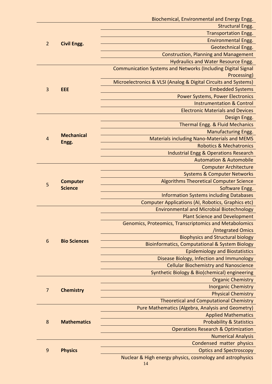|                 |                     | Biochemical, Environmental and Energy Engg.                         |
|-----------------|---------------------|---------------------------------------------------------------------|
|                 |                     | <b>Structural Engg.</b>                                             |
| $\overline{2}$  |                     | <b>Transportation Engg.</b>                                         |
|                 | <b>Civil Engg.</b>  | <b>Environmental Engg.</b>                                          |
|                 |                     | <b>Geotechnical Engg.</b>                                           |
|                 |                     | <b>Construction, Planning and Management</b>                        |
|                 |                     | Hydraulics and Water Resource Engg.                                 |
|                 |                     | <b>Communication Systems and Networks (Including Digital Signal</b> |
|                 |                     | Processing)                                                         |
|                 |                     | Microelectronics & VLSI (Analog & Digital Circuits and Systems)     |
| 3               | EEE                 | <b>Embedded Systems</b>                                             |
|                 |                     | <b>Power Systems, Power Electronics</b>                             |
|                 |                     | <b>Instrumentation &amp; Control</b>                                |
|                 |                     | <b>Electronic Materials and Devices</b>                             |
|                 |                     | Design Engg.                                                        |
|                 |                     | Thermal Engg. & Fluid Mechanics                                     |
|                 |                     | <b>Manufacturing Engg.</b>                                          |
| $\overline{4}$  | <b>Mechanical</b>   | <b>Materials including Nano-Materials and MEMS</b>                  |
|                 | Engg.               | <b>Robotics &amp; Mechatronics</b>                                  |
|                 |                     | <b>Industrial Engg &amp; Operations Research</b>                    |
|                 |                     | <b>Automation &amp; Automobile</b>                                  |
|                 |                     | <b>Computer Architecture</b>                                        |
|                 |                     | <b>Systems &amp; Computer Networks</b>                              |
|                 | <b>Computer</b>     | <b>Algorithms Theoretical Computer Science</b>                      |
| 5               | <b>Science</b>      | Software Engg.                                                      |
|                 |                     | <b>Information Systems including Databases</b>                      |
|                 |                     | <b>Computer Applications (AI, Robotics, Graphics etc)</b>           |
|                 |                     | <b>Environmental and Microbial Biotechnology</b>                    |
|                 |                     | <b>Plant Science and Development</b>                                |
|                 |                     | <b>Genomics, Proteomics, Transcriptomics and Metabolomics</b>       |
|                 |                     | /Integrated Omics                                                   |
|                 |                     | <b>Biophysics and Structural biology</b>                            |
| $6\phantom{1}6$ | <b>Bio Sciences</b> | <b>Bioinformatics, Computational &amp; System Biology</b>           |
|                 |                     | <b>Epidemiology and Biostatistics</b>                               |
|                 |                     | Disease Biology, Infection and Immunology                           |
|                 |                     | <b>Cellular Biochemistry and Nanoscience</b>                        |
|                 |                     | Synthetic Biology & Bio(chemical) engineering                       |
|                 |                     | <b>Organic Chemistry</b>                                            |
|                 |                     | <b>Inorganic Chemistry</b>                                          |
| $\overline{7}$  | <b>Chemistry</b>    | <b>Physical Chemistry</b>                                           |
|                 |                     | <b>Theoretical and Computational Chemistry</b>                      |
|                 |                     | Pure Mathematics (Algebra, Analysis and Geometry)                   |
|                 |                     | <b>Applied Mathematics</b>                                          |
| 8               | <b>Mathematics</b>  | <b>Probability &amp; Statistics</b>                                 |
|                 |                     | <b>Operations Research &amp; Optimization</b>                       |
|                 |                     | <b>Numerical Analysis</b>                                           |
|                 |                     | Condensed matter physics                                            |
| $\overline{9}$  | <b>Physics</b>      | <b>Optics and Spectroscopy</b>                                      |
|                 |                     | Nuclear & High energy physics, cosmology and astrophysics           |
|                 |                     |                                                                     |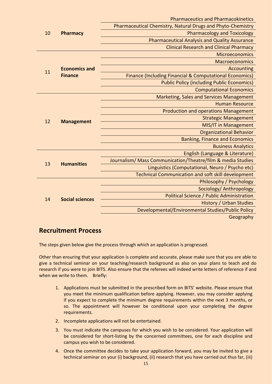|                       |                                                             | <b>Pharmaceutics and Pharmacokinetics</b>                          |
|-----------------------|-------------------------------------------------------------|--------------------------------------------------------------------|
| 10<br><b>Pharmacy</b> | Pharmaceutical Chemistry, Natural Drugs and Phyto-Chemistry |                                                                    |
|                       |                                                             | <b>Pharmacology and Toxicology</b>                                 |
|                       |                                                             | <b>Pharmaceutical Analysis and Quality Assurance</b>               |
|                       |                                                             | <b>Clinical Research and Clinical Pharmacy</b>                     |
|                       |                                                             | Microeconomics                                                     |
|                       |                                                             | Macroeconomics                                                     |
| 11                    | <b>Economics and</b>                                        | <b>Accounting</b>                                                  |
|                       | <b>Finance</b>                                              | <b>Finance (Including Financial &amp; Computational Economics)</b> |
|                       |                                                             | <b>Public Policy (including Public Economics)</b>                  |
|                       |                                                             | <b>Computational Economics</b>                                     |
|                       |                                                             | <b>Marketing, Sales and Services Management</b>                    |
|                       |                                                             | <b>Human Resource</b>                                              |
|                       |                                                             | <b>Production and operations Management</b>                        |
| 12                    | <b>Management</b>                                           | <b>Strategic Management</b>                                        |
|                       |                                                             | <b>MIS/IT in Management</b>                                        |
|                       |                                                             | <b>Organizational Behavior</b>                                     |
|                       |                                                             | <b>Banking, Finance and Economics</b>                              |
|                       |                                                             | <b>Business Analytics</b>                                          |
|                       |                                                             | English (Language & Literature)                                    |
| 13                    | <b>Humanities</b>                                           | Journalism/ Mass Communication/Theatre/film & media Studies        |
|                       |                                                             | Linguistics (Computational, Neuro / Psycho etc)                    |
|                       |                                                             | <b>Technical Communication and soft skill development</b>          |
|                       |                                                             | Philosophy / Psychology                                            |
|                       |                                                             | Sociology/ Anthropology                                            |
| 14                    | <b>Social sciences</b>                                      | <b>Political Science / Public Administration</b>                   |
|                       |                                                             | <b>History / Urban Studies</b>                                     |
|                       |                                                             | Developmental/Environmental Studies/Public Policy                  |
|                       |                                                             | Geography                                                          |

# **Recruitment Process**

The steps given below give the process through which an application is progressed.

Other than ensuring that your application is complete and accurate, please make sure that you are able to give a technical seminar on your teaching/research background as also on your plans to teach and do research if you were to join BITS. Also ensure that the referees will indeed write letters of reference if and when we write to them. Briefly:

- 1. Applications must be submitted in the prescribed form on BITS' website. Please ensure that you meet the minimum qualification before applying. However, you may consider applying if you expect to complete the minimum degree requirements within the next 3 months, or so. The appointment will however be conditional upon your completing the degree requirements.
- 2. Incomplete applications will not be entertained.
- 3. You must indicate the campuses for which you wish to be considered. Your application will be considered for short-listing by the concerned committees, one for each discipline and campus you wish to be considered.
- 4. Once the committee decides to take your application forward, you may be invited to give a technical seminar on your (i) background, (ii) research that you have carried out thus far, (iii)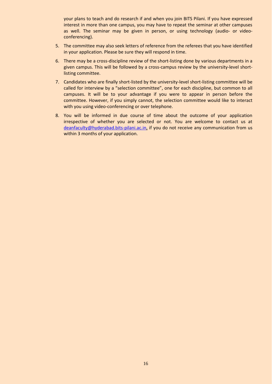your plans to teach and do research if and when you join BITS Pilani. If you have expressed interest in more than one campus, you may have to repeat the seminar at other campuses as well. The seminar may be given in person, or using technology (audio- or videoconferencing).

- 5. The committee may also seek letters of reference from the referees that you have identified in your application. Please be sure they will respond in time.
- 6. There may be a cross-discipline review of the short-listing done by various departments in a given campus. This will be followed by a cross-campus review by the university-level shortlisting committee.
- 7. Candidates who are finally short-listed by the university-level short-listing committee will be called for interview by a "selection committee", one for each discipline, but common to all campuses. It will be to your advantage if you were to appear in person before the committee. However, if you simply cannot, the selection committee would like to interact with you using video-conferencing or over telephone.
- 8. You will be informed in due course of time about the outcome of your application irrespective of whether you are selected or not. You are welcome to contact us at [deanfaculty@hyderabad.bits-pilani.ac.in,](mailto:DeanFacultyAffairs@bits-pilani.ac.in) if you do not receive any communication from us within 3 months of your application.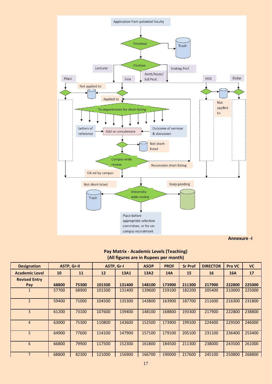

### **Pay Matrix - Academic Levels (Teaching) (All figures are in Rupees per month)**

| <b>Designation</b>       | <b>ASTP, Gr-II</b> |       | ASTP, Gr-I |        | <b>ASOP</b> | <b>PROF</b> | <b>Sr Prof</b> | <b>DIRECTOR</b> | Pro VC     | <b>VC</b> |
|--------------------------|--------------------|-------|------------|--------|-------------|-------------|----------------|-----------------|------------|-----------|
| <b>Academic Level</b>    | 10                 | 11    | 12         | 13A1   | 13A2        | <b>14A</b>  | 15             | 16              | <b>16A</b> | 17        |
| <b>Revised Entry</b>     |                    |       |            |        |             |             |                |                 |            |           |
| Pay                      | 68800              | 75300 | 101500     | 131400 | 148100      | 173900      | 211300         | 217900          | 222800     | 225000    |
|                          | 57700              | 68900 | 101500     | 131400 | 139600      | 159100      | 182200         | 205400          | 210000     | 225000    |
| $\overline{\phantom{0}}$ | 59400              | 71000 | 104500     | 135300 | 143800      | 163900      | 187700         | 211600          | 216300     | 231800    |
| 3                        | 61200              | 73100 | 107600     | 139400 | 148100      | 168800      | 193300         | 217900          | 222800     | 238800    |
| $\overline{4}$           | 63000              | 75300 | 110800     | 143600 | 152500      | 173900      | 199100         | 224400          | 229500     | 246000    |
| 5                        | 64900              | 77600 | 114100     | 147900 | 157100      | 179100      | 205100         | 231100          | 236400     | 253400    |
| 6                        | 66800              | 79900 | 117500     | 152300 | 161800      | 184500      | 211300         | 238000          | 243500     | 261000    |
| $\overline{7}$           | 68800              | 82300 | 121000     | 156900 | 166700      | 190000      | 217600         | 245100          | 250800     | 268800    |